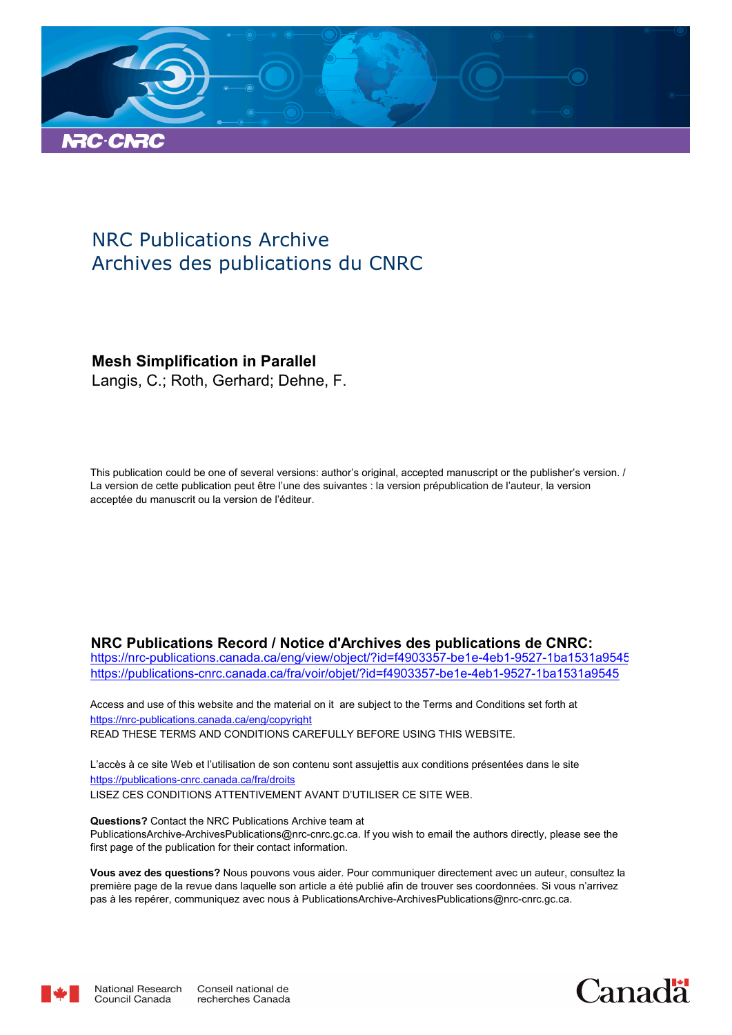

# NRC Publications Archive Archives des publications du CNRC

# **Mesh Simplification in Parallel**

Langis, C.; Roth, Gerhard; Dehne, F.

This publication could be one of several versions: author's original, accepted manuscript or the publisher's version. / La version de cette publication peut être l'une des suivantes : la version prépublication de l'auteur, la version acceptée du manuscrit ou la version de l'éditeur.

# **NRC Publications Record / Notice d'Archives des publications de CNRC:**

https://nrc-publications.canada.ca/eng/view/object/?id=f4903357-be1e-4eb1-9527-1ba1531a9545 https://publications-cnrc.canada.ca/fra/voir/objet/?id=f4903357-be1e-4eb1-9527-1ba1531a9545

READ THESE TERMS AND CONDITIONS CAREFULLY BEFORE USING THIS WEBSITE. https://nrc-publications.canada.ca/eng/copyright Access and use of this website and the material on it are subject to the Terms and Conditions set forth at

https://publications-cnrc.canada.ca/fra/droits L'accès à ce site Web et l'utilisation de son contenu sont assujettis aux conditions présentées dans le site LISEZ CES CONDITIONS ATTENTIVEMENT AVANT D'UTILISER CE SITE WEB.

**Questions?** Contact the NRC Publications Archive team at PublicationsArchive-ArchivesPublications@nrc-cnrc.gc.ca. If you wish to email the authors directly, please see the first page of the publication for their contact information.

**Vous avez des questions?** Nous pouvons vous aider. Pour communiquer directement avec un auteur, consultez la première page de la revue dans laquelle son article a été publié afin de trouver ses coordonnées. Si vous n'arrivez pas à les repérer, communiquez avec nous à PublicationsArchive-ArchivesPublications@nrc-cnrc.gc.ca.



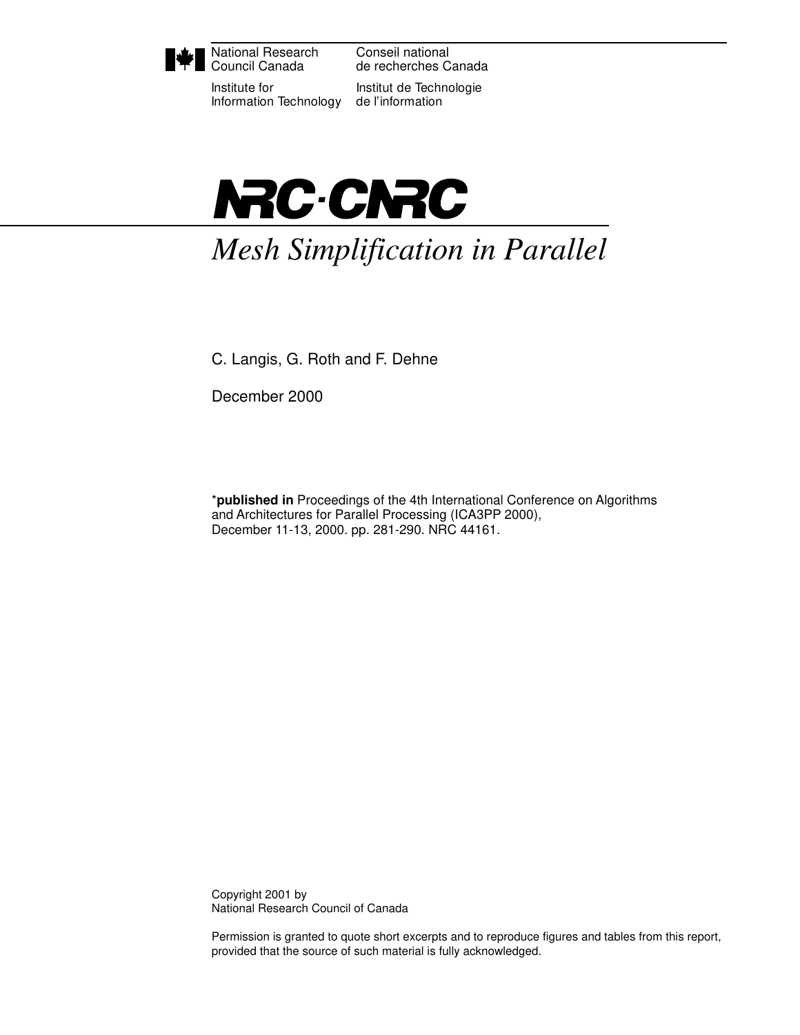

National Research Council Canada

Institute for Information Technology

Conseil national de recherches Canada

Institut de Technologie de l'information



*Mesh Simplification in Parallel*

C. Langis, G. Roth and F. Dehne

December 2000

\***published in** Proceedings of the 4th International Conference on Algorithms and Architectures for Parallel Processing (ICA3PP 2000), December 11-13, 2000. pp. 281-290. NRC 44161.

Copyright 2001 by National Research Council of Canada

Permission is granted to quote short excerpts and to reproduce figures and tables from this report, provided that the source of such material is fully acknowledged.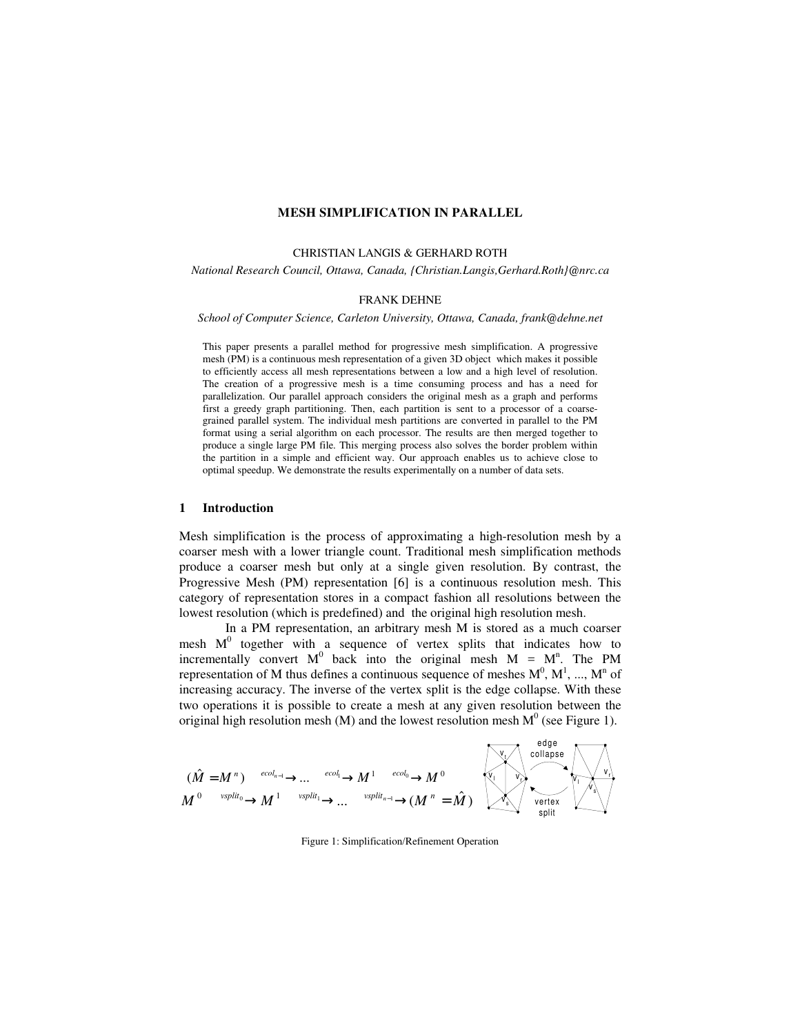#### **MESH SIMPLIFICATION IN PARALLEL**

#### CHRISTIAN LANGIS & GERHARD ROTH

*National Research Council, Ottawa, Canada, {Christian.Langis,Gerhard.Roth}@nrc.ca*

#### FRANK DEHNE

*School of Computer Science, Carleton University, Ottawa, Canada, frank@dehne.net*

This paper presents a parallel method for progressive mesh simplification. A progressive mesh (PM) is a continuous mesh representation of a given 3D object which makes it possible to efficiently access all mesh representations between a low and a high level of resolution. The creation of a progressive mesh is a time consuming process and has a need for parallelization. Our parallel approach considers the original mesh as a graph and performs first a greedy graph partitioning. Then, each partition is sent to a processor of a coarsegrained parallel system. The individual mesh partitions are converted in parallel to the PM format using a serial algorithm on each processor. The results are then merged together to produce a single large PM file. This merging process also solves the border problem within the partition in a simple and efficient way. Our approach enables us to achieve close to optimal speedup. We demonstrate the results experimentally on a number of data sets.

#### **1 Introduction**

Mesh simplification is the process of approximating a high-resolution mesh by a coarser mesh with a lower triangle count. Traditional mesh simplification methods produce a coarser mesh but only at a single given resolution. By contrast, the Progressive Mesh (PM) representation [6] is a continuous resolution mesh. This category of representation stores in a compact fashion all resolutions between the lowest resolution (which is predefined) and the original high resolution mesh.

In a PM representation, an arbitrary mesh M is stored as a much coarser mesh  $M^0$  together with a sequence of vertex splits that indicates how to incrementally convert  $M^0$  back into the original mesh  $M = M^n$ . The PM representation of M thus defines a continuous sequence of meshes  $M^0$ ,  $M^1$ , ...,  $M^n$  of increasing accuracy. The inverse of the vertex split is the edge collapse. With these two operations it is possible to create a mesh at any given resolution between the original high resolution mesh (M) and the lowest resolution mesh  $M^0$  (see Figure 1).

$$
(\hat{M} = M^n) \xrightarrow{ecol_{n-1}} \dots \xrightarrow{ecol_1} M^1 \xrightarrow{ecol_0} M^0
$$
\n
$$
M^0 \xrightarrow{vsplit_0} M^1 \xrightarrow{vsplit_1} \dots \xrightarrow{vsplit_{n-1}} (M^n = \hat{M})
$$
\n
$$
\begin{array}{ccc}\n\downarrow & \downarrow & \downarrow \\
\downarrow & \downarrow & \downarrow & \downarrow \\
\downarrow & \downarrow & \downarrow & \downarrow \\
\downarrow & \downarrow & \downarrow & \downarrow \\
\downarrow & \downarrow & \downarrow & \downarrow \\
\downarrow & \downarrow & \downarrow & \downarrow \\
\downarrow & \downarrow & \downarrow & \downarrow \\
\downarrow & \downarrow & \downarrow & \downarrow \\
\downarrow & \downarrow & \downarrow & \downarrow \\
\downarrow & \downarrow & \downarrow & \downarrow \\
\downarrow & \downarrow & \downarrow & \downarrow \\
\downarrow & \downarrow & \downarrow & \downarrow \\
\downarrow & \downarrow & \downarrow & \downarrow \\
\downarrow & \downarrow & \downarrow & \downarrow \\
\downarrow & \downarrow & \downarrow & \downarrow \\
\downarrow & \downarrow & \downarrow & \downarrow \\
\downarrow & \downarrow & \downarrow & \downarrow \\
\downarrow & \downarrow & \downarrow & \downarrow \\
\downarrow & \downarrow & \downarrow & \downarrow \\
\downarrow & \downarrow & \downarrow & \downarrow \\
\downarrow & \downarrow & \downarrow & \downarrow \\
\downarrow & \downarrow & \downarrow & \downarrow \\
\downarrow & \downarrow & \downarrow & \downarrow \\
\downarrow & \downarrow & \downarrow & \downarrow \\
\downarrow & \downarrow & \downarrow & \downarrow \\
\downarrow & \downarrow & \downarrow & \downarrow \\
\downarrow & \downarrow & \downarrow & \downarrow \\
\downarrow & \downarrow & \downarrow & \downarrow \\
\downarrow & \downarrow & \downarrow & \downarrow \\
\downarrow & \downarrow & \downarrow & \downarrow \\
\downarrow & \downarrow & \downarrow & \downarrow \\
\downarrow & \downarrow & \downarrow & \downarrow \\
\downarrow & \downarrow & \downarrow & \downarrow \\
\downarrow & \downarrow & \downarrow & \downarrow \\
\downarrow & \downarrow & \downarrow & \downarrow \\
\downarrow & \downarrow & \downarrow & \downarrow \\
\downarrow & \downarrow & \downarrow & \downarrow \\
\downarrow & \downarrow & \downarrow & \downarrow \\
\downarrow & \downarrow & \downarrow & \downarrow \\
\downarrow & \downarrow & \downarrow & \downarrow \\
\downarrow &
$$

Figure 1: Simplification/Refinement Operation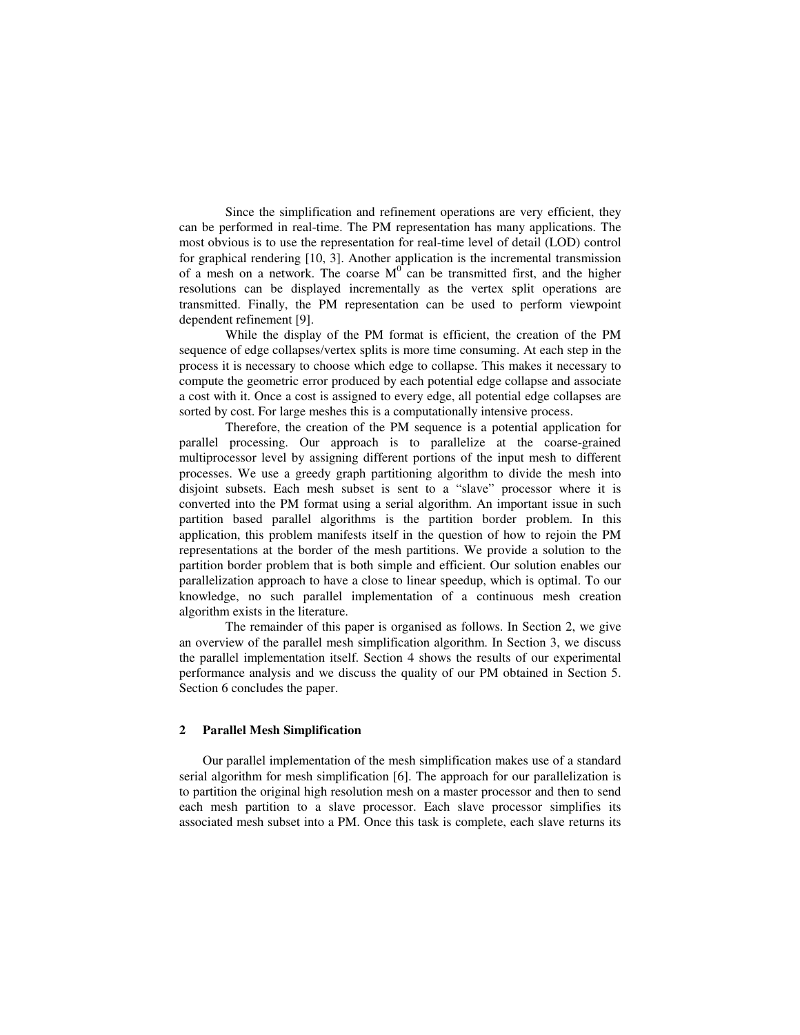Since the simplification and refinement operations are very efficient, they can be performed in real-time. The PM representation has many applications. The most obvious is to use the representation for real-time level of detail (LOD) control for graphical rendering [10, 3]. Another application is the incremental transmission of a mesh on a network. The coarse  $M<sup>0</sup>$  can be transmitted first, and the higher resolutions can be displayed incrementally as the vertex split operations are transmitted. Finally, the PM representation can be used to perform viewpoint dependent refinement [9].

While the display of the PM format is efficient, the creation of the PM sequence of edge collapses/vertex splits is more time consuming. At each step in the process it is necessary to choose which edge to collapse. This makes it necessary to compute the geometric error produced by each potential edge collapse and associate a cost with it. Once a cost is assigned to every edge, all potential edge collapses are sorted by cost. For large meshes this is a computationally intensive process.

Therefore, the creation of the PM sequence is a potential application for parallel processing. Our approach is to parallelize at the coarse-grained multiprocessor level by assigning different portions of the input mesh to different processes. We use a greedy graph partitioning algorithm to divide the mesh into disjoint subsets. Each mesh subset is sent to a "slave" processor where it is converted into the PM format using a serial algorithm. An important issue in such partition based parallel algorithms is the partition border problem. In this application, this problem manifests itself in the question of how to rejoin the PM representations at the border of the mesh partitions. We provide a solution to the partition border problem that is both simple and efficient. Our solution enables our parallelization approach to have a close to linear speedup, which is optimal. To our knowledge, no such parallel implementation of a continuous mesh creation algorithm exists in the literature.

The remainder of this paper is organised as follows. In Section 2, we give an overview of the parallel mesh simplification algorithm. In Section 3, we discuss the parallel implementation itself. Section 4 shows the results of our experimental performance analysis and we discuss the quality of our PM obtained in Section 5. Section 6 concludes the paper.

#### **2 Parallel Mesh Simplification**

Our parallel implementation of the mesh simplification makes use of a standard serial algorithm for mesh simplification [6]. The approach for our parallelization is to partition the original high resolution mesh on a master processor and then to send each mesh partition to a slave processor. Each slave processor simplifies its associated mesh subset into a PM. Once this task is complete, each slave returns its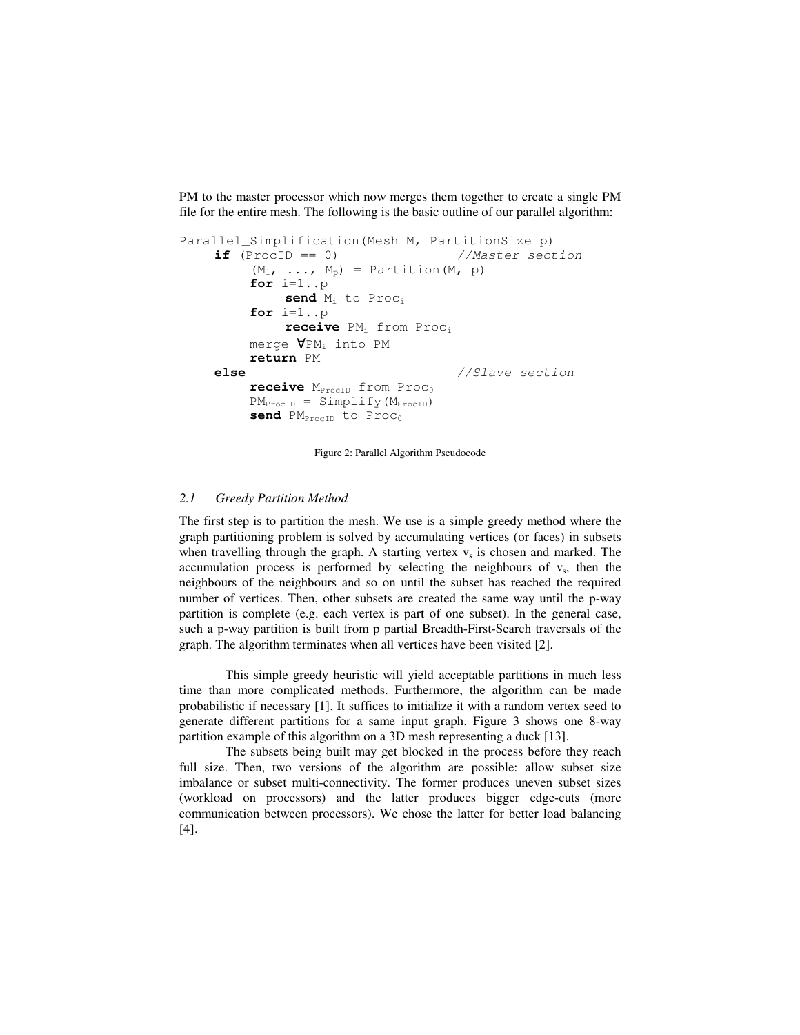PM to the master processor which now merges them together to create a single PM file for the entire mesh. The following is the basic outline of our parallel algorithm:

```
Parallel Simplification(Mesh M, PartitionSize p)
     \textbf{if} (ProcID == 0) //\text{Master section}(M_1, ..., M_p) = Partition(M, p)
           for i=1..p
                send Mi to Proci
           for i=1..p
                receive PM<sub>i</sub> from Proc<sub>i</sub>
           merge ∀PMi into PM
           return PM
     else //Slave section
           receive M<sub>ProcID</sub> from Proc<sub>0</sub>
           PM_{\text{ProcID}} = Simplify(M_{\text{ProcID}})send PM<sub>ProcID</sub> to Proc<sub>0</sub>
```
Figure 2: Parallel Algorithm Pseudocode

#### *2.1 Greedy Partition Method*

The first step is to partition the mesh. We use is a simple greedy method where the graph partitioning problem is solved by accumulating vertices (or faces) in subsets when travelling through the graph. A starting vertex  $v<sub>s</sub>$  is chosen and marked. The accumulation process is performed by selecting the neighbours of  $v<sub>s</sub>$ , then the neighbours of the neighbours and so on until the subset has reached the required number of vertices. Then, other subsets are created the same way until the p-way partition is complete (e.g. each vertex is part of one subset). In the general case, such a p-way partition is built from p partial Breadth-First-Search traversals of the graph. The algorithm terminates when all vertices have been visited [2].

This simple greedy heuristic will yield acceptable partitions in much less time than more complicated methods. Furthermore, the algorithm can be made probabilistic if necessary [1]. It suffices to initialize it with a random vertex seed to generate different partitions for a same input graph. Figure 3 shows one 8-way partition example of this algorithm on a 3D mesh representing a duck [13].

The subsets being built may get blocked in the process before they reach full size. Then, two versions of the algorithm are possible: allow subset size imbalance or subset multi-connectivity. The former produces uneven subset sizes (workload on processors) and the latter produces bigger edge-cuts (more communication between processors). We chose the latter for better load balancing [4].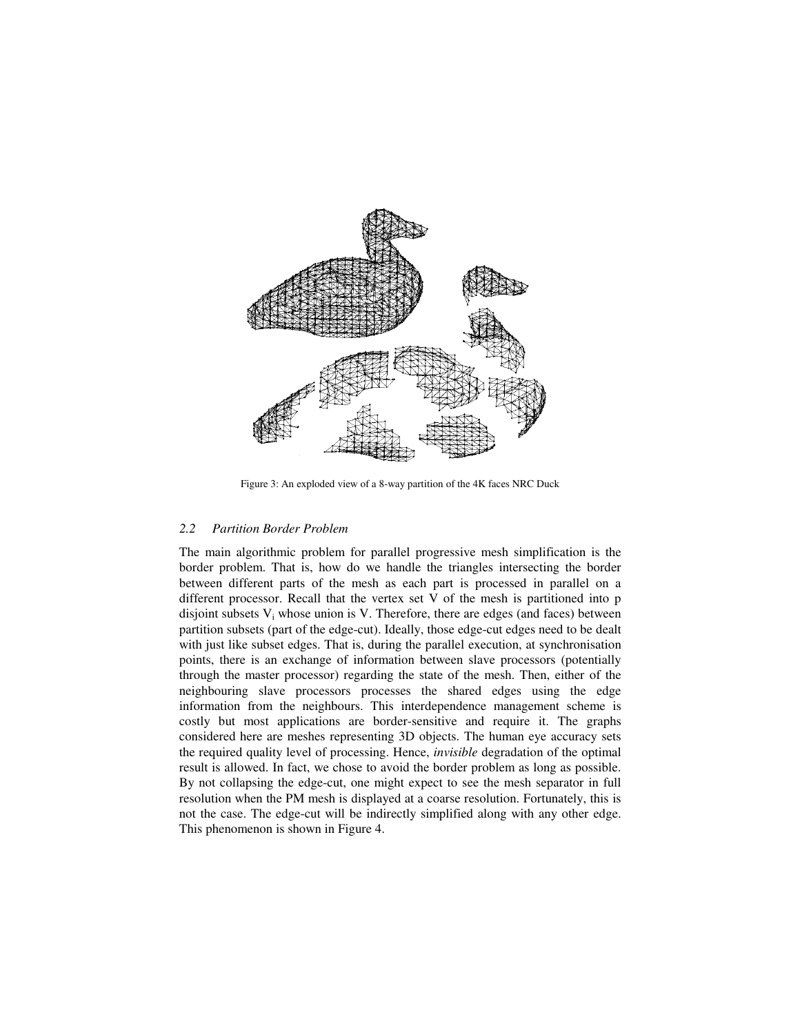

Figure 3: An exploded view of a 8-way partition of the 4K faces NRC Duck

#### *2.2 Partition Border Problem*

The main algorithmic problem for parallel progressive mesh simplification is the border problem. That is, how do we handle the triangles intersecting the border between different parts of the mesh as each part is processed in parallel on a different processor. Recall that the vertex set V of the mesh is partitioned into p disjoint subsets  $V_i$  whose union is V. Therefore, there are edges (and faces) between partition subsets (part of the edge-cut). Ideally, those edge-cut edges need to be dealt with just like subset edges. That is, during the parallel execution, at synchronisation points, there is an exchange of information between slave processors (potentially through the master processor) regarding the state of the mesh. Then, either of the neighbouring slave processors processes the shared edges using the edge information from the neighbours. This interdependence management scheme is costly but most applications are border-sensitive and require it. The graphs considered here are meshes representing 3D objects. The human eye accuracy sets the required quality level of processing. Hence, *invisible* degradation of the optimal result is allowed. In fact, we chose to avoid the border problem as long as possible. By not collapsing the edge-cut, one might expect to see the mesh separator in full resolution when the PM mesh is displayed at a coarse resolution. Fortunately, this is not the case. The edge-cut will be indirectly simplified along with any other edge. This phenomenon is shown in Figure 4.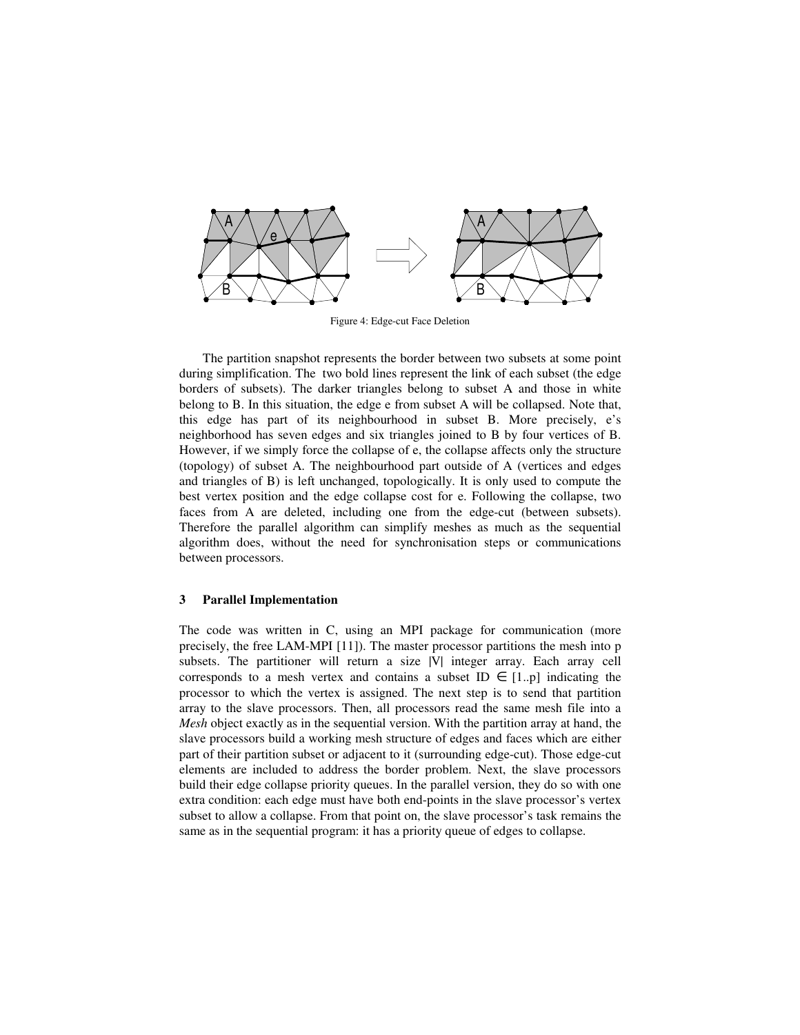

Figure 4: Edge-cut Face Deletion

The partition snapshot represents the border between two subsets at some point during simplification. The two bold lines represent the link of each subset (the edge borders of subsets). The darker triangles belong to subset A and those in white belong to B. In this situation, the edge e from subset A will be collapsed. Note that, this edge has part of its neighbourhood in subset B. More precisely, e's neighborhood has seven edges and six triangles joined to B by four vertices of B. However, if we simply force the collapse of e, the collapse affects only the structure (topology) of subset A. The neighbourhood part outside of A (vertices and edges and triangles of B) is left unchanged, topologically. It is only used to compute the best vertex position and the edge collapse cost for e. Following the collapse, two faces from A are deleted, including one from the edge-cut (between subsets). Therefore the parallel algorithm can simplify meshes as much as the sequential algorithm does, without the need for synchronisation steps or communications between processors.

#### **3 Parallel Implementation**

The code was written in C, using an MPI package for communication (more precisely, the free LAM-MPI [11]). The master processor partitions the mesh into p subsets. The partitioner will return a size |V| integer array. Each array cell corresponds to a mesh vertex and contains a subset ID  $\in$  [1..p] indicating the processor to which the vertex is assigned. The next step is to send that partition array to the slave processors. Then, all processors read the same mesh file into a *Mesh* object exactly as in the sequential version. With the partition array at hand, the slave processors build a working mesh structure of edges and faces which are either part of their partition subset or adjacent to it (surrounding edge-cut). Those edge-cut elements are included to address the border problem. Next, the slave processors build their edge collapse priority queues. In the parallel version, they do so with one extra condition: each edge must have both end-points in the slave processor's vertex subset to allow a collapse. From that point on, the slave processor's task remains the same as in the sequential program: it has a priority queue of edges to collapse.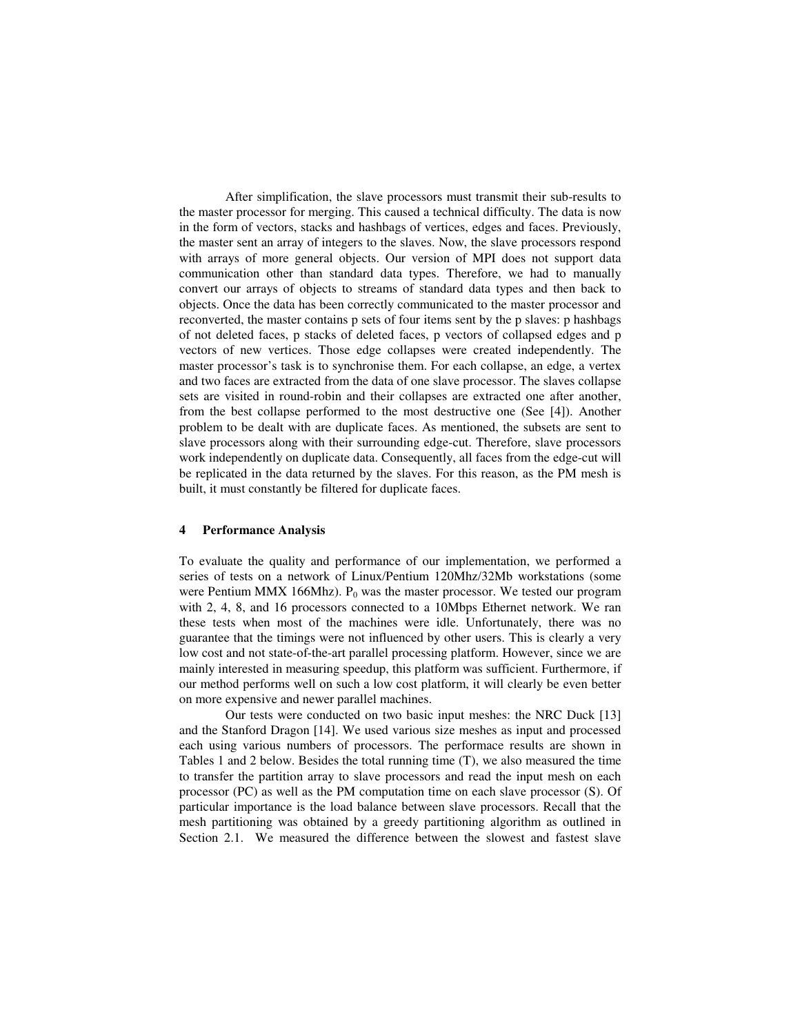After simplification, the slave processors must transmit their sub-results to the master processor for merging. This caused a technical difficulty. The data is now in the form of vectors, stacks and hashbags of vertices, edges and faces. Previously, the master sent an array of integers to the slaves. Now, the slave processors respond with arrays of more general objects. Our version of MPI does not support data communication other than standard data types. Therefore, we had to manually convert our arrays of objects to streams of standard data types and then back to objects. Once the data has been correctly communicated to the master processor and reconverted, the master contains p sets of four items sent by the p slaves: p hashbags of not deleted faces, p stacks of deleted faces, p vectors of collapsed edges and p vectors of new vertices. Those edge collapses were created independently. The master processor's task is to synchronise them. For each collapse, an edge, a vertex and two faces are extracted from the data of one slave processor. The slaves collapse sets are visited in round-robin and their collapses are extracted one after another, from the best collapse performed to the most destructive one (See [4]). Another problem to be dealt with are duplicate faces. As mentioned, the subsets are sent to slave processors along with their surrounding edge-cut. Therefore, slave processors work independently on duplicate data. Consequently, all faces from the edge-cut will be replicated in the data returned by the slaves. For this reason, as the PM mesh is built, it must constantly be filtered for duplicate faces.

#### **4 Performance Analysis**

To evaluate the quality and performance of our implementation, we performed a series of tests on a network of Linux/Pentium 120Mhz/32Mb workstations (some were Pentium MMX 166Mhz).  $P_0$  was the master processor. We tested our program with 2, 4, 8, and 16 processors connected to a 10Mbps Ethernet network. We ran these tests when most of the machines were idle. Unfortunately, there was no guarantee that the timings were not influenced by other users. This is clearly a very low cost and not state-of-the-art parallel processing platform. However, since we are mainly interested in measuring speedup, this platform was sufficient. Furthermore, if our method performs well on such a low cost platform, it will clearly be even better on more expensive and newer parallel machines.

Our tests were conducted on two basic input meshes: the NRC Duck [13] and the Stanford Dragon [14]. We used various size meshes as input and processed each using various numbers of processors. The performace results are shown in Tables 1 and 2 below. Besides the total running time (T), we also measured the time to transfer the partition array to slave processors and read the input mesh on each processor (PC) as well as the PM computation time on each slave processor (S). Of particular importance is the load balance between slave processors. Recall that the mesh partitioning was obtained by a greedy partitioning algorithm as outlined in Section 2.1. We measured the difference between the slowest and fastest slave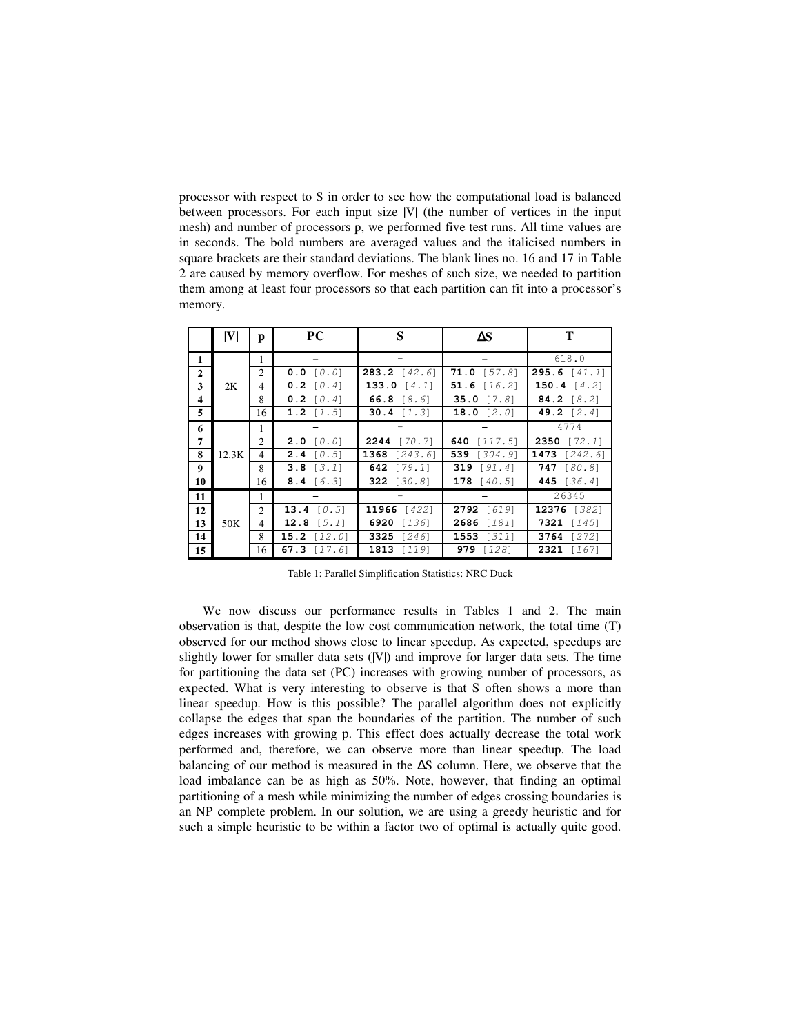processor with respect to S in order to see how the computational load is balanced between processors. For each input size |V| (the number of vertices in the input mesh) and number of processors p, we performed five test runs. All time values are in seconds. The bold numbers are averaged values and the italicised numbers in square brackets are their standard deviations. The blank lines no. 16 and 17 in Table 2 are caused by memory overflow. For meshes of such size, we needed to partition them among at least four processors so that each partition can fit into a processor's memory.

|              | V     | р              | <b>PC</b>          | S                     | ΔS             | т              |
|--------------|-------|----------------|--------------------|-----------------------|----------------|----------------|
| 1            |       |                |                    |                       |                | 618.0          |
| $\mathbf{2}$ |       | 2              | $0.0$ [0.0]        | <b>283.2</b> $[42.6]$ | $71.0$ [57.8]  | 295.6 $[41.1]$ |
| 3            | 2K    | 4              | $0.2$ $0.41$       | 133.0<br>[4.1]        | 51.6 $[16.2]$  | 150.4 $[4.2]$  |
| 4            |       | 8              | $0.2$ $0.41$       | 66.8<br>[8.6]         | 35.0 $[7.8]$   | 84.2 $[8.2]$   |
| 5            |       | 16             | 1.2 $[1.5]$        | 30.4 $[1.3]$          | 18.0 $[2.0]$   | 49.2 [2.4]     |
| 6            |       |                |                    |                       |                | 4774           |
| 7            |       | $\mathfrak{D}$ | $2.0$ $0.01$       | $2244$ [70.7]         | 640<br>[117.5] | 2350<br>[72.1] |
| 8            | 12.3K | 4              | <b>2.4</b> $[0.5]$ | 1368 $[243.6]$        | 539 [304.9]    | 1473 $[242.6]$ |
| 9            |       | 8              | $3.8$ [3.1]        | 642 [79.1]            | 319 $[91.4]$   | 747 [80.8]     |
| 10           |       | 16             | <b>8.4</b> [6.3]   | 322 [30.8]            | 178 $[40.5]$   | 445 $[36.4]$   |
| 11           |       | 1              |                    |                       |                | 26345          |
| 12           |       | 2              | 13.4 $[0.5]$       | 11966 [422]           | 2792 [619]     | 12376 [382]    |
| 13           | 50K   | 4              | 12.8 $[5.1]$       | 6920<br>$[136]$       | 2686 [181]     | $7321$ [145]   |
| 14           |       | 8              | 15.2 $[12.0]$      | 3325<br>$[246]$       | $1553$ [311]   | 3764 [272]     |
| 15           |       | 16             | 67.3 $[17.6]$      | 1813 [119]            | 979 [128]      | 2321 [167]     |

Table 1: Parallel Simplification Statistics: NRC Duck

We now discuss our performance results in Tables 1 and 2. The main observation is that, despite the low cost communication network, the total time (T) observed for our method shows close to linear speedup. As expected, speedups are slightly lower for smaller data sets (|V|) and improve for larger data sets. The time for partitioning the data set (PC) increases with growing number of processors, as expected. What is very interesting to observe is that S often shows a more than linear speedup. How is this possible? The parallel algorithm does not explicitly collapse the edges that span the boundaries of the partition. The number of such edges increases with growing p. This effect does actually decrease the total work performed and, therefore, we can observe more than linear speedup. The load balancing of our method is measured in the ∆S column. Here, we observe that the load imbalance can be as high as 50%. Note, however, that finding an optimal partitioning of a mesh while minimizing the number of edges crossing boundaries is an NP complete problem. In our solution, we are using a greedy heuristic and for such a simple heuristic to be within a factor two of optimal is actually quite good.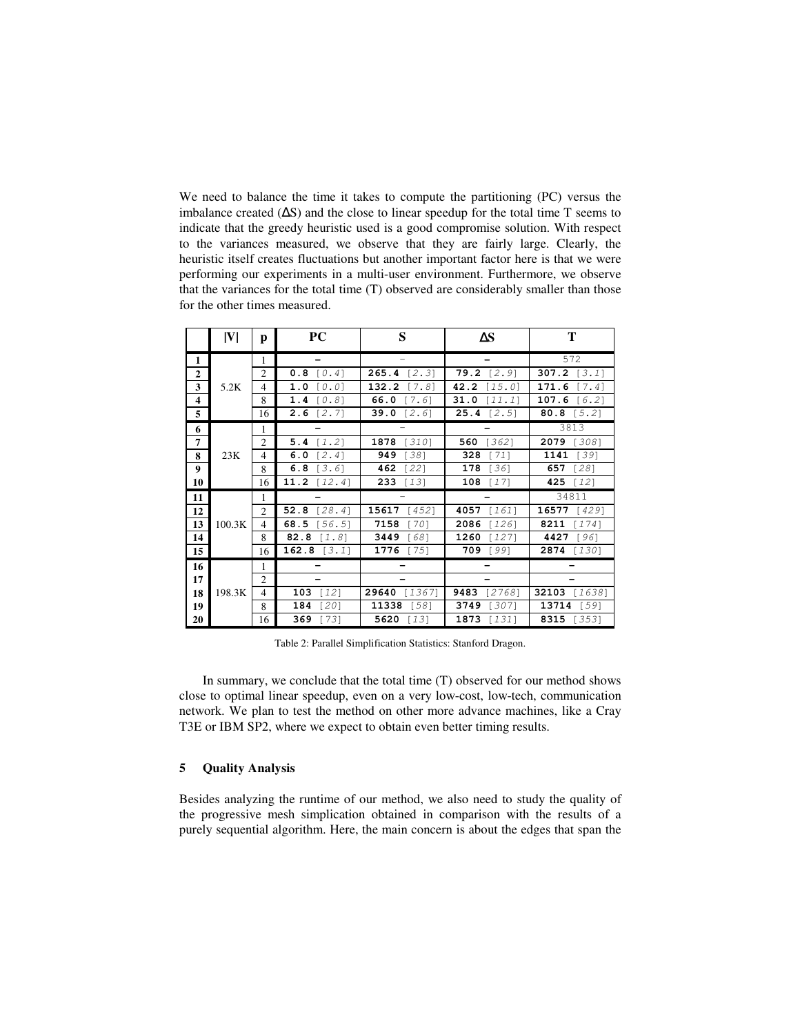We need to balance the time it takes to compute the partitioning (PC) versus the imbalance created (∆S) and the close to linear speedup for the total time T seems to indicate that the greedy heuristic used is a good compromise solution. With respect to the variances measured, we observe that they are fairly large. Clearly, the heuristic itself creates fluctuations but another important factor here is that we were performing our experiments in a multi-user environment. Furthermore, we observe that the variances for the total time (T) observed are considerably smaller than those for the other times measured.

|                     | V      | р                        | <b>PC</b>      | S               | $\Delta S$       | т               |
|---------------------|--------|--------------------------|----------------|-----------------|------------------|-----------------|
| 1                   |        | 1                        |                |                 |                  | 572             |
| $\overline{2}$      |        | $\overline{2}$           | 0.8<br>[0.4]   | 265.4<br>[2.3]  | $79.2$ [2.9]     | 307.2 $[3.1]$   |
| 3                   | 5.2K   | 4                        | 1.0<br>[0.0]   | 132.2<br>[7.8]  | 42.2<br>[15.0]   | 171.6<br>[7.4]  |
| $\overline{\bf{4}}$ |        | 8                        | 1.4<br>[0.8]   | 66.0<br>[7.6]   | 31.0<br>$[11.1]$ | 107.6 [6.2]     |
| 5                   |        | 16                       | 2.6<br>[2, 7]  | 39.0<br>[2.6]   | $25.4$ [2.5]     | 80.8 $[5.2]$    |
| 6                   |        | 1                        |                |                 |                  | 3813            |
| 7                   |        | $\overline{2}$           | 5.4<br>[1.2]   | 1878<br>$[310]$ | 560<br>[362]     | 2079 [308]      |
| 8                   | 23K    | 4                        | 6.0<br>[2.4]   | 949<br>1381     | 328<br>$[71]$    | 1141<br>$[39]$  |
| $\boldsymbol{9}$    |        | 8                        | 6.8<br>[3.6]   | 462<br>$[22]$   | 178<br>$[36]$    | 657<br>$[28]$   |
| 10                  |        | 16                       | 11.2<br>[12.4] | 233<br>$[13]$   | 108<br>[17]      | 425<br>$[12]$   |
| 11                  |        | 1                        |                |                 |                  | 34811           |
| 12                  |        | 2                        | 52.8<br>[28.4] | 15617<br>[452]  | 4057<br>161      | 16577<br>14291  |
| 13                  | 100.3K | 4                        | 68.5<br>[56.5] | 7158<br>$[70]$  | 2086<br>[126]    | 8211<br>[174]   |
| 14                  |        | 8                        | 82.8<br>[1.8]  | 3449<br>$[68]$  | 1260<br>[127]    | 4427<br>$[96]$  |
| 15                  |        | 16                       | 162.8 $[3.1]$  | 1776<br>$[75]$  | 709<br>$[99]$    | 2874 [130]      |
| 16                  |        | 1                        |                |                 |                  |                 |
| 17                  |        | 2                        |                |                 |                  |                 |
| 18                  | 198.3K | $\overline{\mathcal{L}}$ | 103<br>$[12]$  | 29640<br>[1367] | 9483<br>[2768]   | 32103 [1638]    |
| 19                  |        | 8                        | 184<br>$[20]$  | 11338<br>$[58]$ | 3749<br>1307     | 13714<br>$1591$ |
| 20                  |        | 16                       | 369<br>[73]    | 5620<br>$[13]$  | 1873<br>$[131]$  | 8315 [353]      |

Table 2: Parallel Simplification Statistics: Stanford Dragon.

In summary, we conclude that the total time (T) observed for our method shows close to optimal linear speedup, even on a very low-cost, low-tech, communication network. We plan to test the method on other more advance machines, like a Cray T3E or IBM SP2, where we expect to obtain even better timing results.

## **5 Quality Analysis**

Besides analyzing the runtime of our method, we also need to study the quality of the progressive mesh simplication obtained in comparison with the results of a purely sequential algorithm. Here, the main concern is about the edges that span the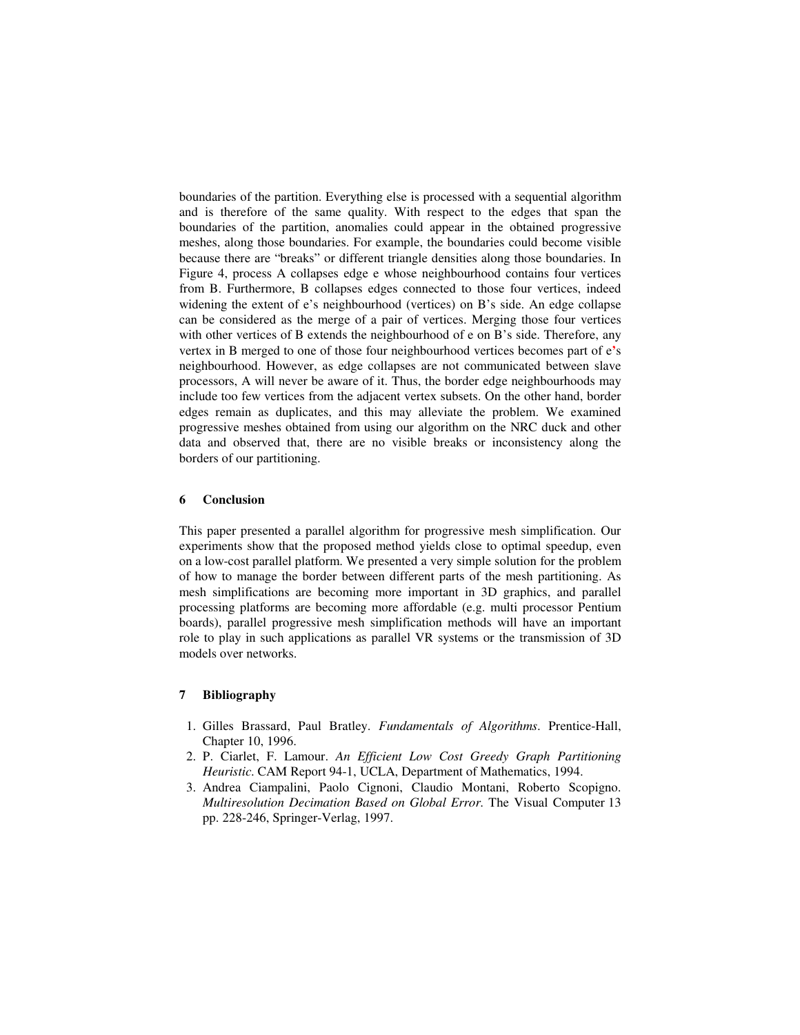boundaries of the partition. Everything else is processed with a sequential algorithm and is therefore of the same quality. With respect to the edges that span the boundaries of the partition, anomalies could appear in the obtained progressive meshes, along those boundaries. For example, the boundaries could become visible because there are "breaks" or different triangle densities along those boundaries. In Figure 4, process A collapses edge e whose neighbourhood contains four vertices from B. Furthermore, B collapses edges connected to those four vertices, indeed widening the extent of e's neighbourhood (vertices) on B's side. An edge collapse can be considered as the merge of a pair of vertices. Merging those four vertices with other vertices of B extends the neighbourhood of e on B's side. Therefore, any vertex in B merged to one of those four neighbourhood vertices becomes part of e**'**s neighbourhood. However, as edge collapses are not communicated between slave processors, A will never be aware of it. Thus, the border edge neighbourhoods may include too few vertices from the adjacent vertex subsets. On the other hand, border edges remain as duplicates, and this may alleviate the problem. We examined progressive meshes obtained from using our algorithm on the NRC duck and other data and observed that, there are no visible breaks or inconsistency along the borders of our partitioning.

#### **6 Conclusion**

This paper presented a parallel algorithm for progressive mesh simplification. Our experiments show that the proposed method yields close to optimal speedup, even on a low-cost parallel platform. We presented a very simple solution for the problem of how to manage the border between different parts of the mesh partitioning. As mesh simplifications are becoming more important in 3D graphics, and parallel processing platforms are becoming more affordable (e.g. multi processor Pentium boards), parallel progressive mesh simplification methods will have an important role to play in such applications as parallel VR systems or the transmission of 3D models over networks.

### **7 Bibliography**

- 1. Gilles Brassard, Paul Bratley. *Fundamentals of Algorithms*. Prentice-Hall, Chapter 10, 1996.
- 2. P. Ciarlet, F. Lamour. *An Efficient Low Cost Greedy Graph Partitioning Heuristic*. CAM Report 94-1, UCLA, Department of Mathematics, 1994.
- 3. Andrea Ciampalini, Paolo Cignoni, Claudio Montani, Roberto Scopigno. *Multiresolution Decimation Based on Global Error*. The Visual Computer 13 pp. 228-246, Springer-Verlag, 1997.